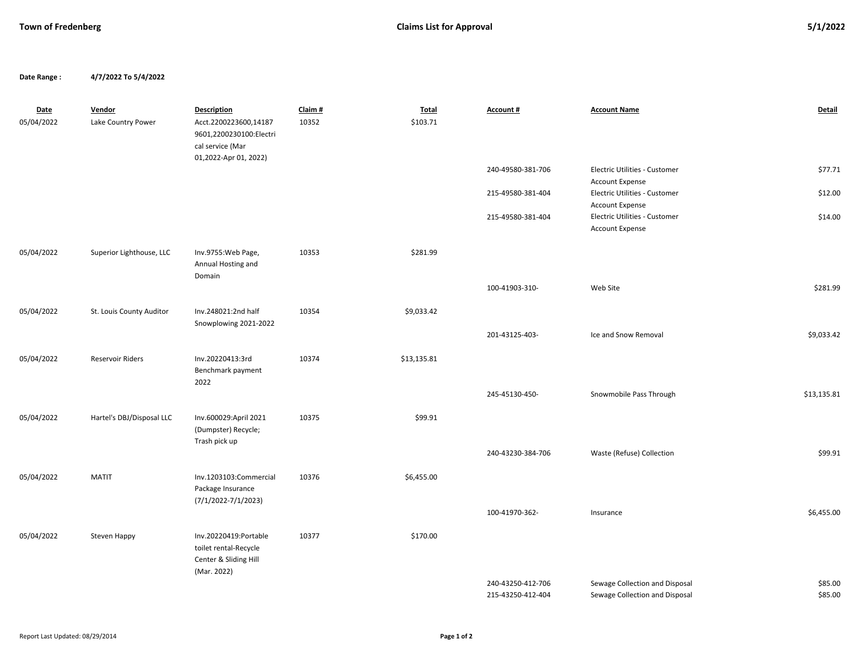**Date Range : 4/7/2022 To 5/4/2022**

| <b>Date</b><br>05/04/2022 | Vendor<br>Lake Country Power | <b>Description</b><br>Acct.2200223600,14187<br>9601,2200230100:Electri<br>cal service (Mar<br>01,2022-Apr 01, 2022) | Claim #<br>10352 | <b>Total</b><br>\$103.71 | Account #                              | <b>Account Name</b>                                              | Detail             |
|---------------------------|------------------------------|---------------------------------------------------------------------------------------------------------------------|------------------|--------------------------|----------------------------------------|------------------------------------------------------------------|--------------------|
|                           |                              |                                                                                                                     |                  |                          | 240-49580-381-706                      | Electric Utilities - Customer<br>Account Expense                 | \$77.71            |
|                           |                              |                                                                                                                     |                  |                          | 215-49580-381-404                      | Electric Utilities - Customer<br>Account Expense                 | \$12.00            |
|                           |                              |                                                                                                                     |                  |                          | 215-49580-381-404                      | Electric Utilities - Customer<br><b>Account Expense</b>          | \$14.00            |
| 05/04/2022                | Superior Lighthouse, LLC     | Inv.9755: Web Page,<br>Annual Hosting and<br>Domain                                                                 | 10353            | \$281.99                 |                                        |                                                                  |                    |
|                           |                              |                                                                                                                     |                  |                          | 100-41903-310-                         | Web Site                                                         | \$281.99           |
| 05/04/2022                | St. Louis County Auditor     | Inv.248021:2nd half<br>Snowplowing 2021-2022                                                                        | 10354            | \$9,033.42               |                                        |                                                                  |                    |
|                           |                              |                                                                                                                     |                  |                          | 201-43125-403-                         | Ice and Snow Removal                                             | \$9,033.42         |
| 05/04/2022                | <b>Reservoir Riders</b>      | Inv.20220413:3rd<br>Benchmark payment<br>2022                                                                       | 10374            | \$13,135.81              |                                        |                                                                  |                    |
|                           |                              |                                                                                                                     |                  |                          | 245-45130-450-                         | Snowmobile Pass Through                                          | \$13,135.81        |
| 05/04/2022                | Hartel's DBJ/Disposal LLC    | Inv.600029:April 2021<br>(Dumpster) Recycle;                                                                        | 10375            | \$99.91                  |                                        |                                                                  |                    |
|                           |                              | Trash pick up                                                                                                       |                  |                          | 240-43230-384-706                      | Waste (Refuse) Collection                                        | \$99.91            |
| 05/04/2022                | <b>MATIT</b>                 | Inv.1203103:Commercial<br>Package Insurance<br>$(7/1/2022 - 7/1/2023)$                                              | 10376            | \$6,455.00               |                                        |                                                                  |                    |
|                           |                              |                                                                                                                     |                  |                          | 100-41970-362-                         | Insurance                                                        | \$6,455.00         |
| 05/04/2022                | Steven Happy                 | Inv.20220419:Portable<br>toilet rental-Recycle<br>Center & Sliding Hill<br>(Mar. 2022)                              | 10377            | \$170.00                 |                                        |                                                                  |                    |
|                           |                              |                                                                                                                     |                  |                          | 240-43250-412-706<br>215-43250-412-404 | Sewage Collection and Disposal<br>Sewage Collection and Disposal | \$85.00<br>\$85.00 |